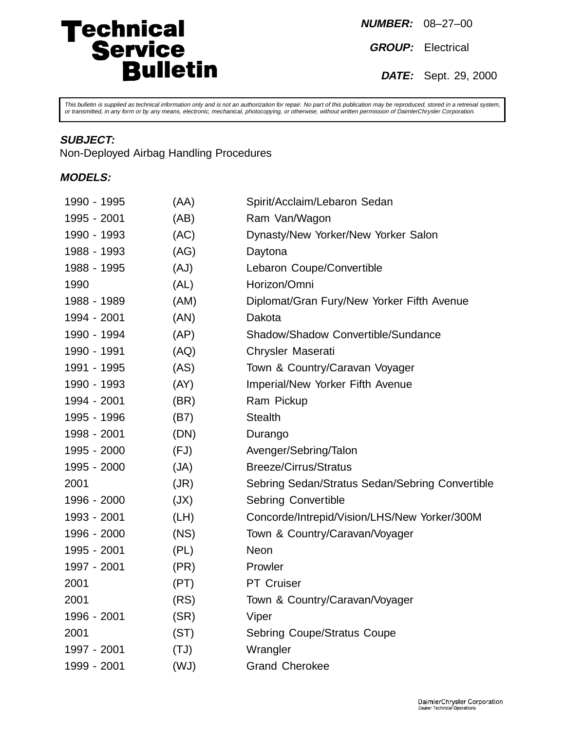# Technical<br>
Service<br>
Bulletin

**NUMBER:** 08–27–00

**GROUP:** Electrical

**DATE:** Sept. 29, 2000

This bulletin is supplied as technical information only and is not an authorization for repair. No part of this publication may be reproduced, stored in a retreival system,<br>or transmitted, in any form or by any means, elec

## **SUBJECT:**

Non-Deployed Airbag Handling Procedures

## **MODELS:**

| 1990 - 1995 | (AA) | Spirit/Acclaim/Lebaron Sedan                    |
|-------------|------|-------------------------------------------------|
| 1995 - 2001 | (AB) | Ram Van/Wagon                                   |
| 1990 - 1993 | (AC) | Dynasty/New Yorker/New Yorker Salon             |
| 1988 - 1993 | (AG) | Daytona                                         |
| 1988 - 1995 | (AJ) | Lebaron Coupe/Convertible                       |
| 1990        | (AL) | Horizon/Omni                                    |
| 1988 - 1989 | (AM) | Diplomat/Gran Fury/New Yorker Fifth Avenue      |
| 1994 - 2001 | (AN) | Dakota                                          |
| 1990 - 1994 | (AP) | Shadow/Shadow Convertible/Sundance              |
| 1990 - 1991 | (AQ) | Chrysler Maserati                               |
| 1991 - 1995 | (AS) | Town & Country/Caravan Voyager                  |
| 1990 - 1993 | (AY) | Imperial/New Yorker Fifth Avenue                |
| 1994 - 2001 | (BR) | Ram Pickup                                      |
| 1995 - 1996 | (B7) | <b>Stealth</b>                                  |
| 1998 - 2001 | (DN) | Durango                                         |
| 1995 - 2000 | (FJ) | Avenger/Sebring/Talon                           |
| 1995 - 2000 | (JA) | <b>Breeze/Cirrus/Stratus</b>                    |
| 2001        | (JR) | Sebring Sedan/Stratus Sedan/Sebring Convertible |
| 1996 - 2000 | (JX) | <b>Sebring Convertible</b>                      |
| 1993 - 2001 | (LH) | Concorde/Intrepid/Vision/LHS/New Yorker/300M    |
| 1996 - 2000 | (NS) | Town & Country/Caravan/Voyager                  |
| 1995 - 2001 | (PL) | <b>Neon</b>                                     |
| 1997 - 2001 | (PR) | Prowler                                         |
| 2001        | (PT) | PT Cruiser                                      |
| 2001        | (RS) | Town & Country/Caravan/Voyager                  |
| 1996 - 2001 | (SR) | Viper                                           |
| 2001        | (ST) | <b>Sebring Coupe/Stratus Coupe</b>              |
| 1997 - 2001 | (TJ) | Wrangler                                        |
| 1999 - 2001 | (UW) | <b>Grand Cherokee</b>                           |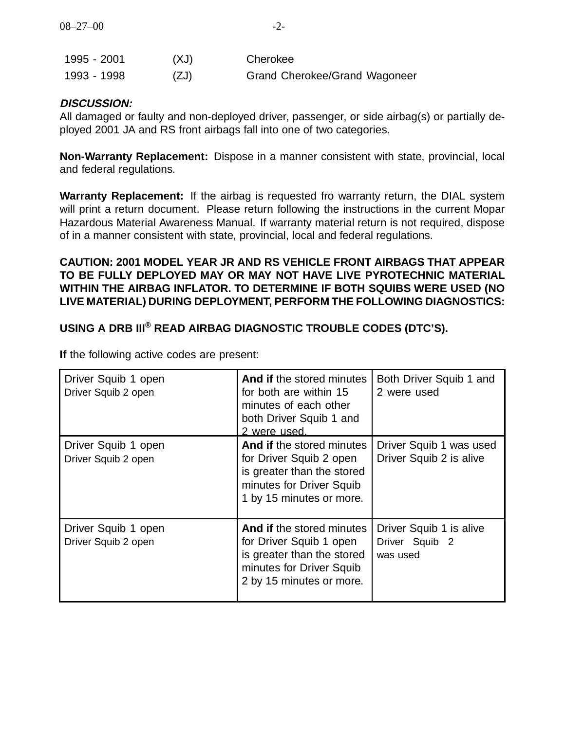| 1995 - 2001 | (XJ) | Cherokee                             |
|-------------|------|--------------------------------------|
| 1993-1998   | (ZJ) | <b>Grand Cherokee/Grand Wagoneer</b> |

#### **DISCUSSION:**

All damaged or faulty and non-deployed driver, passenger, or side airbag(s) or partially deployed 2001 JA and RS front airbags fall into one of two categories.

**Non-Warranty Replacement:** Dispose in a manner consistent with state, provincial, local and federal regulations.

**Warranty Replacement:** If the airbag is requested fro warranty return, the DIAL system will print a return document. Please return following the instructions in the current Mopar Hazardous Material Awareness Manual. If warranty material return is not required, dispose of in a manner consistent with state, provincial, local and federal regulations.

## **CAUTION: 2001 MODEL YEAR JR AND RS VEHICLE FRONT AIRBAGS THAT APPEAR TO BE FULLY DEPLOYED MAY OR MAY NOT HAVE LIVE PYROTECHNIC MATERIAL WITHIN THE AIRBAG INFLATOR. TO DETERMINE IF BOTH SQUIBS WERE USED (NO LIVE MATERIAL) DURING DEPLOYMENT, PERFORM THE FOLLOWING DIAGNOSTICS:**

# **USING A DRB III® READ AIRBAG DIAGNOSTIC TROUBLE CODES (DTC'S).**

| Driver Squib 1 open<br>Driver Squib 2 open | And if the stored minutes<br>for both are within 15<br>minutes of each other<br>both Driver Squib 1 and<br>2 were used.                    | Both Driver Squib 1 and<br>2 were used                |
|--------------------------------------------|--------------------------------------------------------------------------------------------------------------------------------------------|-------------------------------------------------------|
| Driver Squib 1 open<br>Driver Squib 2 open | And if the stored minutes<br>for Driver Squib 2 open<br>is greater than the stored<br>minutes for Driver Squib<br>1 by 15 minutes or more. | Driver Squib 1 was used<br>Driver Squib 2 is alive    |
| Driver Squib 1 open<br>Driver Squib 2 open | And if the stored minutes<br>for Driver Squib 1 open<br>is greater than the stored<br>minutes for Driver Squib<br>2 by 15 minutes or more. | Driver Squib 1 is alive<br>Driver Squib 2<br>was used |

**If** the following active codes are present: